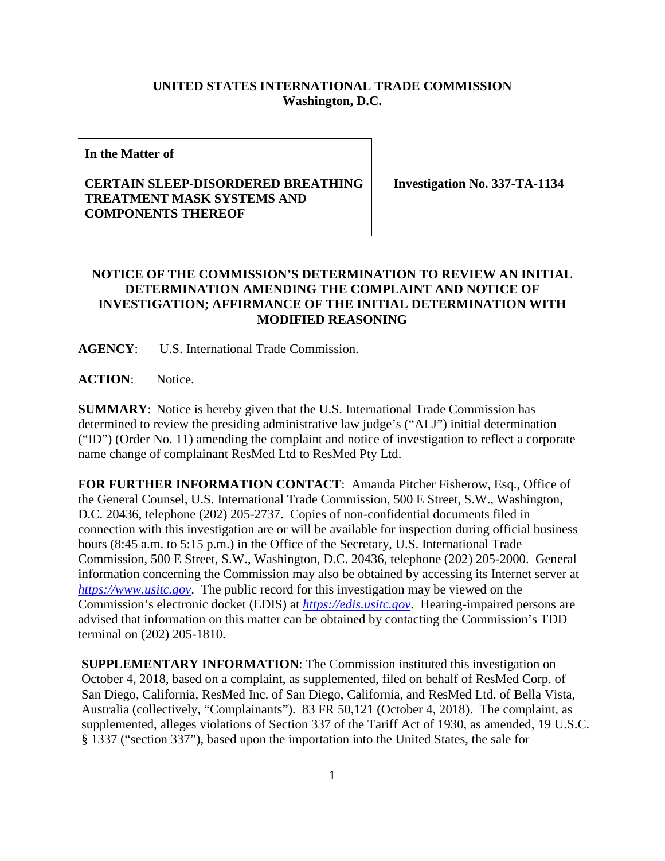## **UNITED STATES INTERNATIONAL TRADE COMMISSION Washington, D.C.**

**In the Matter of**

## **CERTAIN SLEEP-DISORDERED BREATHING TREATMENT MASK SYSTEMS AND COMPONENTS THEREOF**

**Investigation No. 337-TA-1134**

## **NOTICE OF THE COMMISSION'S DETERMINATION TO REVIEW AN INITIAL DETERMINATION AMENDING THE COMPLAINT AND NOTICE OF INVESTIGATION; AFFIRMANCE OF THE INITIAL DETERMINATION WITH MODIFIED REASONING**

**AGENCY**: U.S. International Trade Commission.

**ACTION**: Notice.

**SUMMARY**: Notice is hereby given that the U.S. International Trade Commission has determined to review the presiding administrative law judge's ("ALJ") initial determination ("ID") (Order No. 11) amending the complaint and notice of investigation to reflect a corporate name change of complainant ResMed Ltd to ResMed Pty Ltd.

**FOR FURTHER INFORMATION CONTACT**: Amanda Pitcher Fisherow, Esq., Office of the General Counsel, U.S. International Trade Commission, 500 E Street, S.W., Washington, D.C. 20436, telephone (202) 205-2737. Copies of non-confidential documents filed in connection with this investigation are or will be available for inspection during official business hours (8:45 a.m. to 5:15 p.m.) in the Office of the Secretary, U.S. International Trade Commission, 500 E Street, S.W., Washington, D.C. 20436, telephone (202) 205-2000. General information concerning the Commission may also be obtained by accessing its Internet server at *[https://www.usitc.gov](https://www.usitc.gov/)*. The public record for this investigation may be viewed on the Commission's electronic docket (EDIS) at *[https://edis.usitc.gov](https://edis.usitc.gov/)*. Hearing-impaired persons are advised that information on this matter can be obtained by contacting the Commission's TDD terminal on (202) 205-1810.

**SUPPLEMENTARY INFORMATION**: The Commission instituted this investigation on October 4, 2018, based on a complaint, as supplemented, filed on behalf of ResMed Corp. of San Diego, California, ResMed Inc. of San Diego, California, and ResMed Ltd. of Bella Vista, Australia (collectively, "Complainants"). 83 FR 50,121 (October 4, 2018). The complaint, as supplemented, alleges violations of Section 337 of the Tariff Act of 1930, as amended, 19 U.S.C. § 1337 ("section 337"), based upon the importation into the United States, the sale for